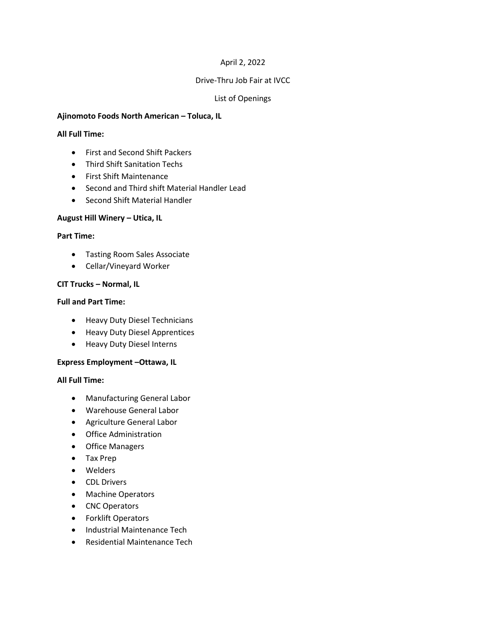# April 2, 2022

### Drive-Thru Job Fair at IVCC

# List of Openings

### **Ajinomoto Foods North American – Toluca, IL**

#### **All Full Time:**

- First and Second Shift Packers
- **•** Third Shift Sanitation Techs
- First Shift Maintenance
- Second and Third shift Material Handler Lead
- Second Shift Material Handler

#### **August Hill Winery – Utica, IL**

#### **Part Time:**

- Tasting Room Sales Associate
- Cellar/Vineyard Worker

### **CIT Trucks – Normal, IL**

#### **Full and Part Time:**

- Heavy Duty Diesel Technicians
- **•** Heavy Duty Diesel Apprentices
- Heavy Duty Diesel Interns

### **Express Employment –Ottawa, IL**

#### **All Full Time:**

- Manufacturing General Labor
- Warehouse General Labor
- Agriculture General Labor
- Office Administration
- Office Managers
- Tax Prep
- Welders
- CDL Drivers
- Machine Operators
- CNC Operators
- Forklift Operators
- Industrial Maintenance Tech
- Residential Maintenance Tech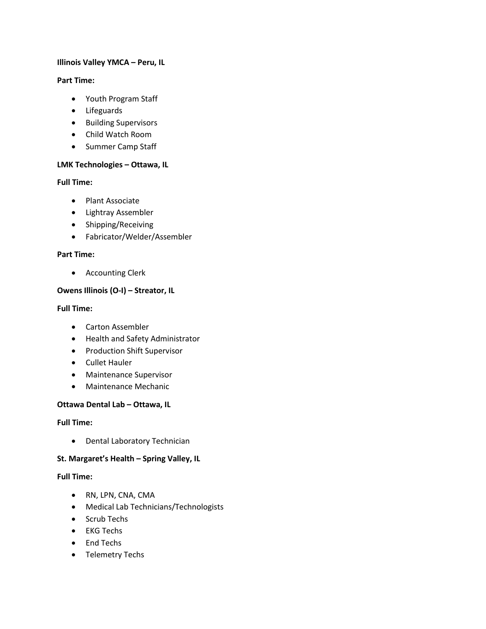# **Illinois Valley YMCA – Peru, IL**

### **Part Time:**

- Youth Program Staff
- Lifeguards
- Building Supervisors
- Child Watch Room
- Summer Camp Staff

# **LMK Technologies – Ottawa, IL**

# **Full Time:**

- Plant Associate
- Lightray Assembler
- Shipping/Receiving
- Fabricator/Welder/Assembler

# **Part Time:**

Accounting Clerk

# **Owens Illinois (O-I) – Streator, IL**

### **Full Time:**

- Carton Assembler
- Health and Safety Administrator
- **•** Production Shift Supervisor
- Cullet Hauler
- Maintenance Supervisor
- Maintenance Mechanic

### **Ottawa Dental Lab – Ottawa, IL**

### **Full Time:**

Dental Laboratory Technician

# **St. Margaret's Health – Spring Valley, IL**

# **Full Time:**

- RN, LPN, CNA, CMA
- Medical Lab Technicians/Technologists
- Scrub Techs
- EKG Techs
- End Techs
- Telemetry Techs